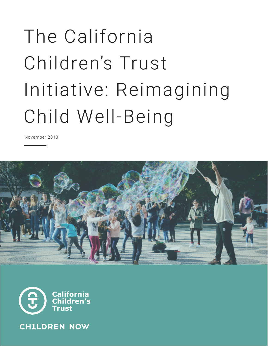# The California Children's Trust Initiative: Reimagining Child Well-Being

November 2018





**CH1LDREN NOW**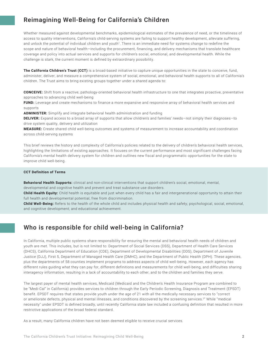# Reimagining Well-Being for California's Children

Whether measured against developmental benchmarks, epidemiological estimates of the prevalence of need, or the timeliness of access to quality interventions, California's child-serving systems are failing to support healthy development, alleviate suffering, and unlock the potential of individual children and youth<sup>1</sup>. There is an immediate need for systems change to redefine the scope and nature of behavioral health—including the procurement, financing, and delivery mechanisms that translate healthcare coverage and policy into actual services and supports for children's social, emotional, and developmental health. While the challenge is stark, the current moment is defined by extraordinary possibility.

**The California Children's Trust (CCT)** is a broad-based initiative to capture unique opportunities in the state to conceive, fund, administer, deliver, and measure a comprehensive system of social, emotional, and behavioral health supports to all of California's children. The Trust aims to bring existing groups together under a shared agenda to:

**CONCEIVE:** Shift from a reactive, pathology-oriented behavioral health infrastructure to one that integrates proactive, preventative approaches to advancing child well-being

**FUND:** Leverage and create mechanisms to finance a more expansive and responsive array of behavioral health services and supports

**ADMINISTER:** Simplify and integrate behavioral health administration and funding

**DELIVER:** Expand access to a broad array of supports that allow children's and families' needs—not simply their diagnoses—to drive system quality, delivery and utilization

**MEASURE:** Create shared child well-being outcomes and systems of measurement to increase accountability and coordination across child-serving systems

This brief reviews the history and complexity of California's policies related to the delivery of children's behavioral health services, highlighting the limitations of existing approaches. It focuses on the current performance and most significant challenges facing California's mental health delivery system for children and outlines new fiscal and programmatic opportunities for the state to improve child well-being.

#### **CCT Definition of Terms**

**Behavioral Health Supports:** clinical and non-clinical interventions that support children's social, emotional, mental,

developmental and cognitive health and prevent and treat substance use disorders.

**Child Health Equity:** Child health is equitable and just when every child has a fair and intergenerational opportunity to attain their full health and developmental potential, free from discrimination.

**Child Well-Being:** Refers to the health of the whole child and includes physical health and safety; psychological, social, emotional, and cognitive development; and educational achievement.

#### Who is responsible for child well-being in California?

In California, multiple public systems share responsibility for ensuring the mental and behavioral health needs of children and youth are met. This includes, but is not limited to: Department of Social Services (DSS), Department of Health Care Services (DHCS), California Department of Education (CDE), Department of Developmental Disabilities (DDS), Department of Juvenile Justice (DJJ), First 5, Department of Managed Health Care (DMHC), and the Department of Public Health (DPH). These agencies, plus the departments of 58 counties implement programs to address aspects of child well-being. However, each agency has different rules guiding what they can pay for, different definitions and measurements for child well-being, and difficulties sharing interagency information, resulting in a lack of accountability to each other, and to the children and families they serve.

The largest payer of mental health services, Medicaid (Medicaid and the Children's Health Insurance Program are combined to be "Medi-Cal" in California) provides services to children through the Early Periodic Screening, Diagnosis and Treatment (EPSDT) benefit. EPSDT requires that states provide youth under the age of 21 with all the medically necessary services to "correct or ameliorate defects, physical and mental illnesses, and conditions discovered by the screening services.2" While "medical necessity" under EPSDT is defined broadly, until recently California state law included a confusing definition that resulted in more restrictive applications of the broad federal standard.

As a result, many California children have not been deemed eligible to receive crucial services.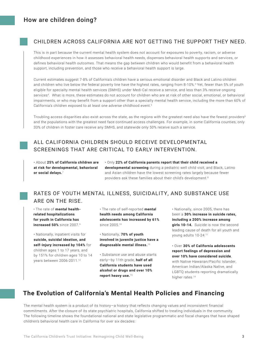#### CHILDREN ACROSS CALIFORNIA ARE NOT GETTING THE SUPPORT THEY NEED.

This is in part because the current mental health system does not account for exposures to poverty, racism, or adverse childhood experiences in how it assesses behavioral health needs, dispenses behavioral health supports and services, or defines behavioral health outcomes. That means the gap between children who would benefit from a behavioral health support, including prevention, and those who receive a behavioral health support is large.

Current estimates suggest 7-8% of California's children have a serious emotional disorder and Black and Latino children and children who live below the federal poverty line have the highest rates, ranging from 8-10%.3 Yet, fewer than 5% of youth eligible for specialty mental health services (SMHS) under Medi-Cal receive a service, and less than 3% receive ongoing services<sup>4</sup>. What is more, these estimates do not account for children who are at risk of other social, emotional, or behavioral impairments, or who may benefit from a support other than a specialty mental health service, including the more than 60% of California's children exposed to at least one adverse childhood event.<sup>5</sup>

Troubling access disparities also exist across the state, as the regions with the greatest need also have the fewest providers6 and the populations with the greatest need face continued access challenges. For example, in some California counties, only 33% of children in foster care receive any SMHS, and statewide only 50% receive such a service.

#### ALL CALIFORNIA CHILDREN SHOULD RECEIVE DEVELOPMENTAL SCREENINGS THAT ARE CRITICAL TO EARLY INTERVENTION.

• About **25% of California children are at risk for developmental, behavioral or social delays.**<sup>7</sup>

• Only **22% of California parents report that their child received a developmental screening** during a pediatric well child visit, and Black, Latino and Asian children have the lowest screening rates largely because fewer providers ask these families about their child's development.<sup>8</sup>

#### RATES OF YOUTH MENTAL ILLNESS, SUICIDALITY, AND SUBSTANCE USE ARE ON THE RISE.

• The rate of **mental healthrelated hospitalizations for youth in California has increased 50%** since 2007.9

• Nationally, inpatient visits for **suicide, suicidal ideation, and self-injury increased by 104%** for children ages 1 to 17 years, and by 151% for children ages 10 to 14 years between 2006-2011.12

• The rate of self-reported **mental health needs among California adolescents has increased by 61%** since 2005.10

• Nationally, **70% of youth involved in juvenile justice have a diagnosable mental illness.**<sup>13</sup>

• Substance use and abuse starts early—by 11th grade, **half of all California students have used alcohol or drugs and over 10% report heavy use.**15

• Nationally, since 2005, there has been a **30% increase in suicide rates, including a 200% increase among girls 10-14.** Suicide is now the second leading cause of death for all youth and young adults 10-24.11

• Over **30% of California adolescents report feelings of depression and over 10% have considered suicide**, with Native Hawaiian/Pacific Islander, American Indian/Alaska Native, and LGBTQ students reporting dramatically higher rates.<sup>14</sup>

## **The Evolution of California's Mental Health Policies and Financing**

The mental health system is a product of its history—a history that reflects changing values and inconsistent financial commitments. After the closure of its state psychiatric hospitals, California shifted to treating individuals in the community. The following timeline shows the foundational national and state legislative programmatic and fiscal changes that have shaped children's behavioral health care in California for over six decades: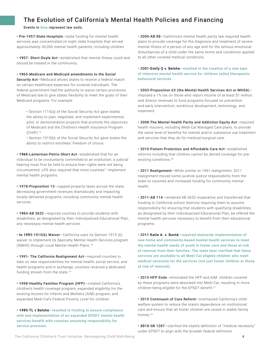# The Evolution of California's Mental Health Policies and Financing

Events in blue represent law suits.

• Pre-1957-State Hospitals—state funding for mental health services was concentrated on eight state hospitals that served approximately 36,000 mental health patients, including children.

**• 19**57- Short-Doyle Act—established that mental illness could and should be treated in the community.

**• 19**65-Medicare and Medicaid amendments to the Social Security Act-Medicaid allows states to receive a federal match on certain healthcare expenses for covered individuals. The federal government had the authority to waive certain provisions of Medicaid law to give states flexibility to meet the goals of their Medicaid programs. For example:

• Section 1115(a) of the Social Security Act gave states the ability to plan, negotiate, and implement experimental, pilot, or demonstration projects that promote the objectives of Medicaid and the Children's Health Insurance Program (CHIP).16

• Section 1915(b) of the Social Security Act gave states the ability to restrict enrollees' freedom of choice.

**• 196**8-Lanterman-Petris-Short Act—established that for an individual to be involuntarily committed to an institution, a judicial hearing must first be held to ensure their rights were not being circumvented. LPS also required that most counties<sup>17</sup> implement mental health programs.

**• 1**978-Proposition 13—capped property taxes across the state, decreasing government revenues dramatically and impacting locally-delivered programs, including community mental health services.

**• 19**84-AB 3632—required counties to provide students with disabilities, as designated by their Individualized Educational Plan, any necessary mental health services.

**• In 199**5-1915(b) Waiver—California uses its Section 1915 (b) waiver to implement its Specialty Mental Health Services program (SMHS) through Local Mental Health Plans.18

**• 1**991- The California Realignment Act—required counties to take on new responsibilities for mental health, social service, and health programs and in exchange, counties received a dedicated funding stream from the state.19

**• 1**998-Healthy Families Program (HFP)—created California's children's health coverage program, expanded eligibility for the existing Access for Infants and Mothers (AIM) program, and expanded Medi-Cal's Federal Poverty Level for children.

**• 199**5-TL v Belshe—resulted in funding to ensure compliance with and implementation of an expanded EPSDT mental health services benefit with counties assuming responsibility for service provision.

• 2000-AB 88-California's mental health parity law required health plans to provide coverage for the diagnosis and treatment of severe mental illness of a person of any age and for the serious emotional disturbances of a child under the same terms and conditions applied to all other covered medical conditions.

• 2001-Emily Q v. Belshe—resulted in the creation of a new type of intensive mental health service for children called therapeutic behavioral services

• 2003-Proposition 63 (the Mental Health Services Act or MHSA) imposed a 1% tax on those who report income of at least \$1 million, and directs revenues to fund programs focused on prevention and early intervention, workforce development, technology, and treatment.

• 2008-The Mental Health Parity and Addiction Equity Act—required health insurers, including Medi-Cal Managed Care plans, to provide the same level of benefits for mental and/or substance use treatment and services that they do for medical/surgical care.

• 2010-Patient Protection and Affordable Care Act—established reforms including that children cannot be denied coverage for preexisting conditions.20

• 2011 Realignment—While similar to 1991 realignment, 2011 realignment moved some juvenile justice responsibility from the state to counties and increased funding for community mental health.

• 2011-AB 114—rendered AB 3632 inoperative and transferred that funding to California school districts requiring them to assume responsibility for ensuring that students with qualifying disabilities, as designated by their Individualized Educational Plan, be offered the mental health services necessary to benefit from their educational programs.

• 2011 Katie A. v. Bontà—required statewide implementation of new home and community-based mental health services to meet the mental health needs of youth in foster care and those at risk of removal from their families. The state later clarified that these services are available to all Medi-Cal eligible children who meet medical necessity for the services (not just foster children or those at risk of removal).

• 2013-HFP Ends—eliminated the HFP and AIM: children covered by these programs were absorbed into Medi-Cal, resulting in more children being eligible for the EPSDT benefit.<sup>21</sup>

• 2015 Continuum of Care Reform—overhauled California's child welfare system to reduce the state's dependence on institutional care and ensure that all foster children are raised in stable family homes.<sup>22</sup>

**• 20**18-SB 1287—clarified the state's definition of "medical necessity" under EPSDT to align with the broader federal definition.

The California Children's Trust Initiative: Reimagining Child Well-Being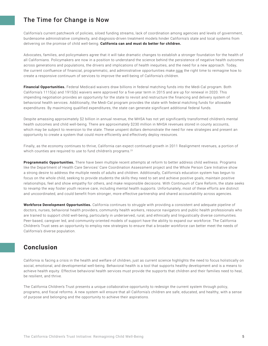## The Time for Change is Now

California's current patchwork of policies, siloed funding streams, lack of coordination among agencies and levels of government, burdensome administrative complexity, and diagnosis-driven treatment models hinder California's state and local systems from delivering on the promise of child well-being. **California can and must do better for children.** 

Advocates, families, and policymakers agree that it will take dramatic changes to establish a stronger foundation for the health of all Californians. Policymakers are now in a position to understand the science behind the persistence of negative health outcomes across generations and populations, the drivers and implications of health inequities, and the need for a new approach. Today, the current confluence of financial, programmatic, and administrative opportunities make now the right time to reimagine how to create a responsive continuum of services to improve the well-being of California's children.

**Financial Opportunities.** Federal Medicaid waivers draw billions in federal matching funds into the Medi-Cal program. Both California's 1115(a) and 1915(b) waivers were approved for a five-year term in 2015 and are up for renewal in 2020. This impending negotiation provides an opportunity for the state to revisit and restructure the financing and delivery system of behavioral health services. Additionally, the Medi-Cal program provides the state with federal matching funds for allowable expenditures. By maximizing qualified expenditures, the state can generate significant additional federal funds.

Despite amassing approximately \$2 billion in annual revenue, the MHSA has not yet significantly transformed children's mental health outcomes and child well-being. There are approximately \$230 million in MHSA revenues stored in county accounts, which may be subject to reversion to the state. These unspent dollars demonstrate the need for new strategies and present an opportunity to create a system that could more efficiently and effectively deploy resources.

Finally, as the economy continues to thrive, California can expect continued growth in 2011 Realignment revenues, a portion of which counties are required to use to fund children's programs.<sup>23</sup>

**Programmatic Opportunities.** There have been multiple recent attempts at reform to better address child wellness. Programs like the Department of Health Care Services' Care Coordination Assessment project and the Whole Person Care Initiative show a strong desire to address the multiple needs of adults and children. Additionally, California's education system has begun to focus on the whole child, seeking to provide students the skills they need to set and achieve positive goals, maintain positive relationships, feel and show empathy for others, and make responsible decisions. With Continuum of Care Reform, the state seeks to revamp the way foster youth receive care, including mental health supports. Unfortunately, most of these efforts are distinct and uncoordinated, and could benefit from stronger, more effective partnership and shared accountability across agencies.

**Workforce Development Opportunities.** California continues to struggle with providing a consistent and adequate pipeline of doctors, nurses, behavioral health providers, community health workers, resource navigators and public health professionals who are trained to support child well-being, particularly in underserved, rural, and ethnically and linguistically diverse communities. Peer-based, caregiver led, and community-oriented models of support have the ability to expand our workforce. The California Children's Trust sees an opportunity to employ new strategies to ensure that a broader workforce can better meet the needs of California's diverse population.

# **Conclusion**

California is facing a crisis in the health and welfare of children, just as current science highlights the need to focus holistically on social, emotional, and developmental well-being. Behavioral health is a tool that supports healthy development and is a means to achieve health equity. Effective behavioral health services must provide the supports that children and their families need to heal, be resilient, and thrive.

The California Children's Trust presents a unique collaborative opportunity to redesign the current system through policy, programs, and fiscal reforms. A new system will ensure that all California's children are safe, educated, and healthy, with a sense of purpose and belonging and the opportunity to achieve their aspirations.